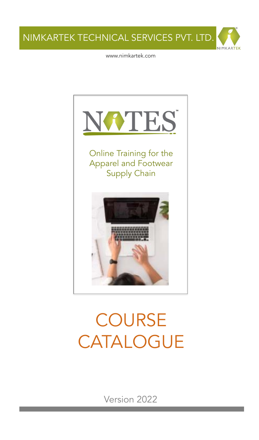

www.nimkartek.com



# **COURSE** CATALOGUE

Version 2022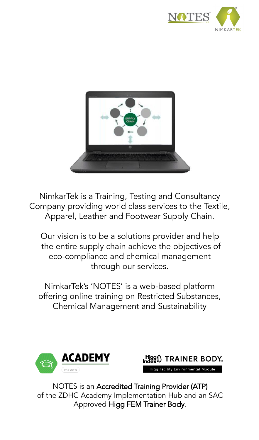



NimkarTek is a Training, Testing and Consultancy Company providing world class services to the Textile, Apparel, Leather and Footwear Supply Chain.

Our vision is to be a solutions provider and help the entire supply chain achieve the objectives of eco-compliance and chemical management through our services.

NimkarTek's 'NOTES' is a web-based platform offering online training on Restricted Substances, Chemical Management and Sustainability





NOTES is an Accredited Training Provider (ATP) of the ZDHC Academy Implementation Hub and an SAC Approved Higg FEM Trainer Body.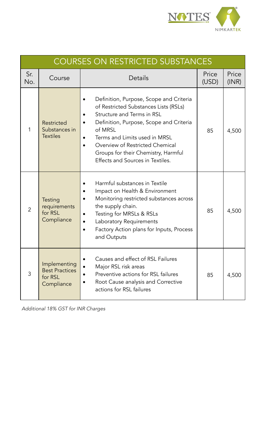

| <b>COURSES ON RESTRICTED SUBSTANCES</b> |                                                                |                                                                                                                                                                                                                                                                                                                     |                |                |  |
|-----------------------------------------|----------------------------------------------------------------|---------------------------------------------------------------------------------------------------------------------------------------------------------------------------------------------------------------------------------------------------------------------------------------------------------------------|----------------|----------------|--|
| Sr.<br>No.                              | Course                                                         | Details                                                                                                                                                                                                                                                                                                             | Price<br>(USD) | Price<br>(INR) |  |
| 1                                       | <b>Restricted</b><br>Substances in<br><b>Textiles</b>          | Definition, Purpose, Scope and Criteria<br>of Restricted Substances Lists (RSLs)<br>Structure and Terms in RSL<br>Definition, Purpose, Scope and Criteria<br>of MRSL<br>Terms and Limits used in MRSL<br>Overview of Restricted Chemical<br>Groups for their Chemistry, Harmful<br>Effects and Sources in Textiles. | 85             | 4,500          |  |
| $\overline{2}$                          | Testing<br>requirements<br>for RSL<br>Compliance               | Harmful substances in Textile<br>Impact on Health & Environment<br>Monitoring restricted substances across<br>the supply chain.<br>Testing for MRSLs & RSLs<br>Laboratory Requirements<br>$\bullet$<br>Factory Action plans for Inputs, Process<br>and Outputs                                                      | 85             | 4,500          |  |
| 3                                       | Implementing<br><b>Best Practices</b><br>for RSL<br>Compliance | Causes and effect of RSL Failures<br>Major RSL risk areas<br>Preventive actions for RSL failures<br>Root Cause analysis and Corrective<br>actions for RSL failures                                                                                                                                                  | 85             | 4,500          |  |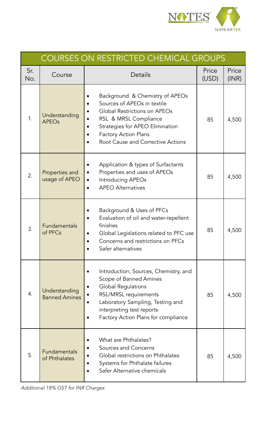

| <b>COURSES ON RESTRICTED CHEMICAL GROUPS</b> |                                       |                                                                                                                                                                                                                                |                |                |  |
|----------------------------------------------|---------------------------------------|--------------------------------------------------------------------------------------------------------------------------------------------------------------------------------------------------------------------------------|----------------|----------------|--|
| Sr.<br>No.                                   | Course                                | Details                                                                                                                                                                                                                        | Price<br>(USD) | Price<br>(INR) |  |
| 1.                                           | Understanding<br><b>APEOs</b>         | Background & Chemistry of APEOs<br>Sources of APEOs in textile<br>Global Restrictions on APEOs<br>RSL & MRSL Compliance<br>Strategies for APEO Elimination<br><b>Factory Action Plans</b><br>Root Cause and Corrective Actions | 85             | 4,500          |  |
| 2.                                           | Properties and<br>usage of APEO       | Application & types of Surfactants<br>Properties and uses of APEOs<br>$\bullet$<br>Introducing APEOs<br>$\bullet$<br><b>APEO Alternatives</b>                                                                                  | 85             | 4,500          |  |
| 3.                                           | Fundamentals<br>of PFCs               | Background & Uses of PFCs<br>Evaluation of oil and water-repellent<br>finishes<br>Global Legislations related to PFC use<br>$\bullet$<br>Concerns and restrictions on PFCs<br>Safer alternatives                               | 85             | 4,500          |  |
| 4.                                           | Understanding<br><b>Banned Amines</b> | Introduction, Sources, Chemistry, and<br>Scope of Banned Amines<br><b>Global Regulations</b><br>RSL/MRSL requirements<br>Laboratory Sampling, Testing and<br>interpreting test reports<br>Factory Action Plans for compliance  | 85             | 4,500          |  |
| 5.                                           | <b>Fundamentals</b><br>of Phthalates  | What are Phthalates?<br>Sources and Concerns<br>Global restrictions on Phthalates<br>Systems for Phthalate failures<br>Safer Alternative chemicals                                                                             | 85             | 4,500          |  |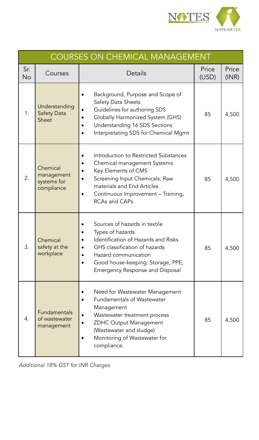

| <b>COURSES ON CHEMICAL MANAGEMENT</b> |                                                     |                                                                                                                                                                                                                                        |                |                |  |
|---------------------------------------|-----------------------------------------------------|----------------------------------------------------------------------------------------------------------------------------------------------------------------------------------------------------------------------------------------|----------------|----------------|--|
| Sr.<br><b>No</b>                      | Courses                                             | Details                                                                                                                                                                                                                                | Price<br>(USD) | Price<br>(INR) |  |
| 1.                                    | Understanding<br><b>Safety Data</b><br><b>Sheet</b> | Background, Purpose and Scope of<br>$\bullet$<br>Safety Data Sheets<br>Guidelines for authoring SDS<br>Globally Harmonized System (GHS)<br>Understanding 16 SDS Sections<br>Interpretating SDS for Chemical Mgmt                       | 85             | 4,500          |  |
| 2.                                    | Chemical<br>management<br>systems for<br>compliance | Introduction to Restricted Substances<br>Chemical management Systems<br>Key Elements of CMS<br>Screening Input Chemicals, Raw<br>$\bullet$<br>materials and End Articles<br>Continuous Improvement - Training,<br><b>RCAs and CAPs</b> | 85             | 4,500          |  |
| 3.                                    | Chemical<br>safety at the<br>workplace              | Sources of hazards in textile<br>Types of hazards<br>Identification of Hazards and Risks<br>GHS classification of hazards<br>$\bullet$<br>Hazard communication<br>Good house-keeping: Storage, PPE,<br>Emergency Response and Disposal | 85             | 4,500          |  |
| 4.                                    | <b>Fundamentals</b><br>of wastewater<br>management  | Need for Wastewater Management<br><b>Fundamentals of Wastewater</b><br>Management<br>Wastewater treatment process<br><b>ZDHC Output Management</b><br>(Wastewater and sludge)<br>Monitoring of Wastewater for<br>compliance.           | 85             | 4,500          |  |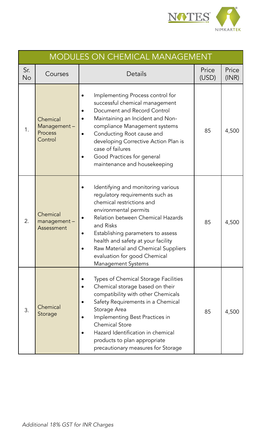

| <b>MODULES ON CHEMICAL MANAGEMENT</b> |                                               |                                                                                                                                                                                                                                                                                                                                                       |                |                |  |  |
|---------------------------------------|-----------------------------------------------|-------------------------------------------------------------------------------------------------------------------------------------------------------------------------------------------------------------------------------------------------------------------------------------------------------------------------------------------------------|----------------|----------------|--|--|
| Sr.<br><b>No</b>                      | Courses                                       | Details                                                                                                                                                                                                                                                                                                                                               | Price<br>(USD) | Price<br>(INR) |  |  |
| 1.                                    | Chemical<br>Management-<br>Process<br>Control | Implementing Process control for<br>successful chemical management<br>Document and Record Control<br>Maintaining an Incident and Non-<br>compliance Management systems<br>Conducting Root cause and<br>$\bullet$<br>developing Corrective Action Plan is<br>case of failures<br>Good Practices for general<br>maintenance and housekeeping            | 85             | 4,500          |  |  |
| 2.                                    | Chemical<br>management-<br>Assessment         | Identifying and monitoring various<br>regulatory requirements such as<br>chemical restrictions and<br>environmental permits<br>Relation between Chemical Hazards<br>and Risks<br>Establishing parameters to assess<br>health and safety at your facility<br>Raw Material and Chemical Suppliers<br>evaluation for good Chemical<br>Management Systems | 85             | 4,500          |  |  |
| 3.                                    | Chemical<br>Storage                           | <b>Types of Chemical Storage Facilities</b><br>Chemical storage based on their<br>compatibility with other Chemicals<br>Safety Requirements in a Chemical<br>Storage Area<br>Implementing Best Practices in<br><b>Chemical Store</b><br>Hazard Identification in chemical<br>products to plan appropriate<br>precautionary measures for Storage       | 85             | 4,500          |  |  |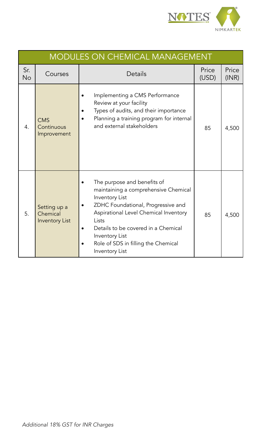

|                  | <b>MODULES ON CHEMICAL MANAGEMENT</b>             |                                                                                                                                                                                                                                                                                                 |                |                |  |  |
|------------------|---------------------------------------------------|-------------------------------------------------------------------------------------------------------------------------------------------------------------------------------------------------------------------------------------------------------------------------------------------------|----------------|----------------|--|--|
| Sr.<br><b>No</b> | Courses                                           | Details                                                                                                                                                                                                                                                                                         | Price<br>(USD) | Price<br>(INR) |  |  |
| 4.               | <b>CMS</b><br>Continuous<br>Improvement           | Implementing a CMS Performance<br>Review at your facility<br>Types of audits, and their importance<br>Planning a training program for internal<br>and external stakeholders                                                                                                                     | 85             | 4,500          |  |  |
| 5.               | Setting up a<br>Chemical<br><b>Inventory List</b> | The purpose and benefits of<br>maintaining a comprehensive Chemical<br>Inventory List<br>ZDHC Foundational, Progressive and<br>Aspirational Level Chemical Inventory<br>Lists<br>Details to be covered in a Chemical<br>Inventory List<br>Role of SDS in filling the Chemical<br>Inventory List | 85             | 4,500          |  |  |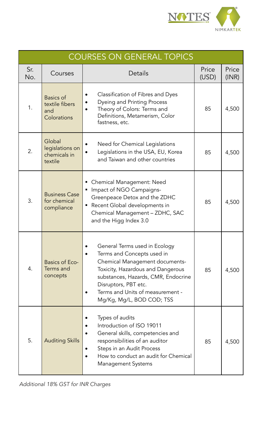

| <b>COURSES ON GENERAL TOPICS</b> |                                                          |                                                                                                                                                                                                                                                                    |                |                |
|----------------------------------|----------------------------------------------------------|--------------------------------------------------------------------------------------------------------------------------------------------------------------------------------------------------------------------------------------------------------------------|----------------|----------------|
| Sr.<br>No.                       | Courses                                                  | Details                                                                                                                                                                                                                                                            | Price<br>(USD) | Price<br>(INR) |
| 1.                               | <b>Basics of</b><br>textile fibers<br>and<br>Colorations | Classification of Fibres and Dyes<br><b>Dyeing and Printing Process</b><br>Theory of Colors: Terms and<br>Definitions, Metamerism, Color<br>fastness, etc.                                                                                                         | 85             | 4,500          |
| 2.                               | Global<br>legislations on<br>chemicals in<br>textile     | Need for Chemical Legislations<br>Legislations in the USA, EU, Korea<br>$\bullet$<br>and Taiwan and other countries                                                                                                                                                | 85             | 4,500          |
| 3.                               | <b>Business Case</b><br>for chemical<br>compliance       | Chemical Management: Need<br>Impact of NGO Campaigns-<br>Е<br>Greenpeace Detox and the ZDHC<br>Recent Global developments in<br>П<br>Chemical Management - ZDHC, SAC<br>and the Higg Index 3.0                                                                     | 85             | 4,500          |
| 4.                               | <b>Basics of Eco-</b><br>Terms and<br>concepts           | General Terms used in Ecology<br>Terms and Concepts used in<br>Chemical Management documents-<br>Toxicity, Hazardous and Dangerous<br>substances, Hazards, CMR, Endocrine<br>Disruptors, PBT etc.<br>Terms and Units of measurement -<br>Mg/Kg, Mg/L, BOD COD; TSS | 85             | 4,500          |
| 5.                               | <b>Auditing Skills</b>                                   | Types of audits<br>Introduction of ISO 19011<br>General skills, competencies and<br>responsibilities of an auditor<br>Steps in an Audit Process<br>How to conduct an audit for Chemical<br><b>Management Systems</b>                                               | 85             | 4,500          |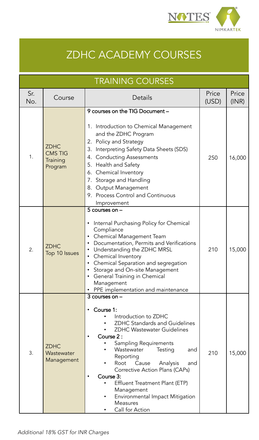

# ZDHC ACADEMY COURSES

| <b>TRAINING COURSES</b> |                                                      |                                                                                                                                                                                                                                                                                                                                                                                                                                                       |                |                |
|-------------------------|------------------------------------------------------|-------------------------------------------------------------------------------------------------------------------------------------------------------------------------------------------------------------------------------------------------------------------------------------------------------------------------------------------------------------------------------------------------------------------------------------------------------|----------------|----------------|
| Sr.<br>No.              | Course                                               | Details                                                                                                                                                                                                                                                                                                                                                                                                                                               | Price<br>(USD) | Price<br>(INR) |
| 1.                      | <b>ZDHC</b><br><b>CMS TIG</b><br>Training<br>Program | 9 courses on the TIG Document -<br>Introduction to Chemical Management<br>1.<br>and the ZDHC Program<br>2. Policy and Strategy<br>Interpreting Safety Data Sheets (SDS)<br>3.<br>4. Conducting Assessments<br>5. Health and Safety<br>6. Chemical Inventory<br>7. Storage and Handling<br>8. Output Management<br>9. Process Control and Continuous<br>Improvement                                                                                    | 250            | 16,000         |
| 2.                      | <b>ZDHC</b><br>Top 10 Issues                         | 5 courses on -<br>Internal Purchasing Policy for Chemical<br>Compliance<br>Chemical Management Team<br>Documentation, Permits and Verifications<br>$\bullet$<br>Understanding the ZDHC MRSL<br>$\bullet$<br>Chemical Inventory<br>$\bullet$<br>Chemical Separation and segregation<br>$\bullet$<br>Storage and On-site Management<br>General Training in Chemical<br>Management<br>PPE implementation and maintenance                                 | 210            | 15,000         |
| 3.                      | <b>ZDHC</b><br>Wastewater<br>Management              | $3$ courses on $-$<br>Course 1:<br>٠<br>Introduction to ZDHC<br><b>ZDHC Standards and Guidelines</b><br><b>ZDHC Wastewater Guidelines</b><br>Course 2:<br>$\bullet$<br>Sampling Requirements<br>Wastewater<br>Testing<br>and<br>Reporting<br>Root<br>Cause<br>Analysis<br>and<br>Corrective Action Plans (CAPs)<br>Course 3:<br>Effluent Treatment Plant (ETP)<br>Management<br>Environmental Impact Mitigation<br><b>Measures</b><br>Call for Action | 210            | 15,000         |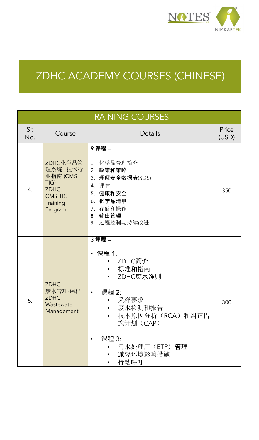

# ZDHC ACADEMY COURSES (CHINESE)

| <b>TRAINING COURSES</b> |                                                                                                        |                                                                                                                                                                                                               |                |  |  |
|-------------------------|--------------------------------------------------------------------------------------------------------|---------------------------------------------------------------------------------------------------------------------------------------------------------------------------------------------------------------|----------------|--|--|
| Sr.<br>No.              | Course                                                                                                 | Details                                                                                                                                                                                                       | Price<br>(USD) |  |  |
| 4.                      | ZDHC化学品管<br>理系统-技术行<br>业指南 (CMS<br>TIG)<br><b>ZDHC</b><br><b>CMS TIG</b><br><b>Training</b><br>Program | 9课程-<br>1. 化学品管理简介<br>2. 政策和策略<br>3. 理解安全数据表(SDS)<br>4. 评估<br>5. 健康和安全<br>6. 化学品清单<br>7. 存储和操作<br>8. 输出管理<br>9. 过程控制与持续改进                                                                                     | 350            |  |  |
| 5.                      | <b>ZDHC</b><br>废水管理-课程<br><b>ZDHC</b><br>Wastewater<br>Management                                      | 3课程-<br>• 课程 1:<br>ZDHC简介<br>$\bullet$<br>标准和指南<br>$\bullet$<br>ZDHC废水准则<br>课程 2:<br>$\bullet$<br>采样要求<br>$\bullet$<br>废水检测和报告<br>根本原因分析(RCA)和纠正措<br>施计划 (CAP)<br>课程 3:<br>汚水处理厂 (ETP) 管理<br>减轻环境影响措施<br>行动呼吁 | 300            |  |  |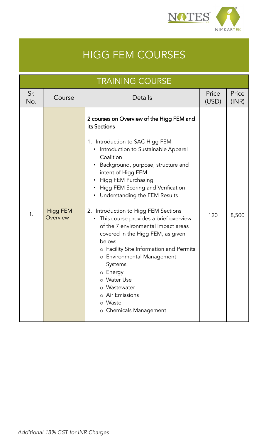

# HIGG FEM COURSES

|            | <b>TRAINING COURSE</b>      |                                                                                                                                                                                                                                                                                                                                                                                                                                                                                                                                                                                                                                                                                                                  |                |                |  |  |  |
|------------|-----------------------------|------------------------------------------------------------------------------------------------------------------------------------------------------------------------------------------------------------------------------------------------------------------------------------------------------------------------------------------------------------------------------------------------------------------------------------------------------------------------------------------------------------------------------------------------------------------------------------------------------------------------------------------------------------------------------------------------------------------|----------------|----------------|--|--|--|
| Sr.<br>No. | Course                      | Details                                                                                                                                                                                                                                                                                                                                                                                                                                                                                                                                                                                                                                                                                                          | Price<br>(USD) | Price<br>(INR) |  |  |  |
| 1.         | <b>Higg FEM</b><br>Overview | 2 courses on Overview of the Higg FEM and<br>its Sections-<br>1. Introduction to SAC Higg FEM<br>• Introduction to Sustainable Apparel<br>Coalition<br>Background, purpose, structure and<br>$\bullet$<br>intent of Higg FEM<br>Higg FEM Purchasing<br>Higg FEM Scoring and Verification<br>$\bullet$<br>Understanding the FEM Results<br>$\bullet$<br>2. Introduction to Higg FEM Sections<br>This course provides a brief overview<br>٠<br>of the 7 environmental impact areas<br>covered in the Higg FEM, as given<br>below:<br>o Facility Site Information and Permits<br>o Environmental Management<br>Systems<br>o Energy<br>o Water Use<br>Wastewater<br>Air Emissions<br>Waste<br>o Chemicals Management | 120            | 8,500          |  |  |  |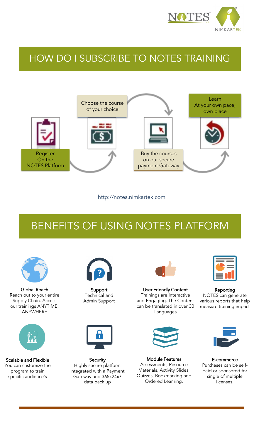

### HOW DO I SUBSCRIBE TO NOTES TRAINING



http://notes.nimkartek.com

# BENEFITS OF USING NOTES PLATFORM



Global Reach Reach out to your entire Supply Chain. Access our trainings ANYTIME, ANYWHERE



Scalable and Flexible You can customize the program to train specific audience's



Support Technical and Admin Support



**Security** Highly secure platform integrated with a Payment Gateway and 365x24x7 data back up



User Friendly Content Trainings are Interactive and Engaging. The Content can be translated in over 30 Languages



Module Features Assessments, Resource Materials, Activity Slides, Quizzes, Bookmarking and Ordered Learning.



Reporting NOTES can generate various reports that help measure training impact



E-commerce Purchases can be selfpaid or sponsored for single of multiple licenses.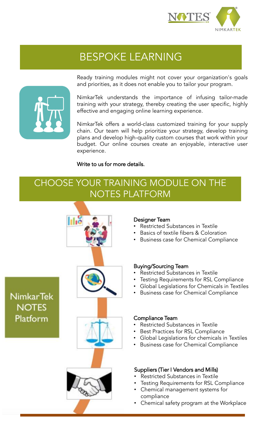

## BESPOKE LEARNING



Ready training modules might not cover your organization's goals and priorities, as it does not enable you to tailor your program.

NimkarTek understands the importance of infusing tailor-made training with your strategy, thereby creating the user specific, highly effective and engaging online learning experience.

NimkarTek offers a world-class customized training for your supply chain. Our team will help prioritize your strategy, develop training plans and develop high-quality custom courses that work within your budget. Our online courses create an enjoyable, interactive user experience.

#### Write to us for more details.

### CHOOSE YOUR TRAINING MODULE ON THE NOTES PLATFORM



#### Designer Team

- Restricted Substances in Textile
- Basics of textile fibers & Coloration
- Business case for Chemical Compliance

#### Buying/Sourcing Team

- Restricted Substances in Textile
- Testing Requirements for RSL Compliance
- Global Legislations for Chemicals in Textiles
- Business case for Chemical Compliance

#### Compliance Team

- Restricted Substances in Textile
- Best Practices for RSL Compliance
- Global Legislations for chemicals in Textiles
- Business case for Chemical Compliance

### Suppliers (Tier I Vendors and Mills)

- Restricted Substances in Textile
- Testing Requirements for RSL Compliance
- Chemical management systems for compliance
- Chemical safety program at the Workplace